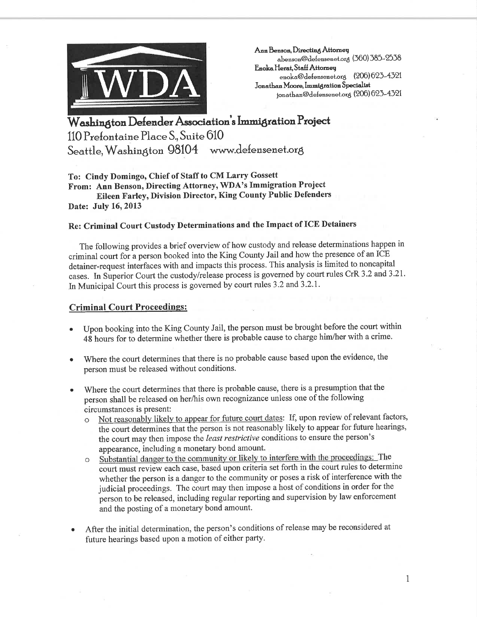

Ann Benson, Directing Attorney abenson@defensenet.org (360) 385-2538 Enoka Herat, Staff Attorney enoka@defensenet.org (206) 623-4321 Jonathan Moore, Immigration Specialist jonathan@defensenet.org (206) 623-4321

Washington Defender Association's Immigration Project 110 Prefontaine Place S., Suite 610 Seattle, Washington 98104 www.defensenet.org

To: Cindy Domingo, Chief of Staff to CM Larry Gossett From: Ann Benson, Directing Attorney, WDA's Immigration Project Eileen Farley, Division Director, King county Public Defenders Date: July 16, 2013

## Re: Criminal Court Custody Determinations and the Impact of ICE Detainers

The following provides a brief overview of how custody and release determinations happen in criminal court for a person booked into the King County Jail and how the presence of an ICE detainer-request interfaces with and impacts this process. This analysis is limited to noncapital cases. In Sùperior Court the custody/release process is governed by court rules CrR 3 .2 and 3 .2I. In Municipal Court this process is governed by court rules 3.2 and 3.2.1.

## Criminal Court Proceedings :

- . Upon booking into the King County Jail, the person must be brought before the court within 48 hours for to determine whether there is probable cause to charge him/her with a crime.
- Where the court determines that there is no probable cause based upon the evidence, the person must be released without conditions. a
- Where the court determines that there is probable cause, there is a presumption that the person shall be released on her/his own recognizance unless one of the following circumstances is present: a
	- Not reasonably likely to appear for future court dates: If, upon review of relevant factors, the court determines that the person is not reasonably likely to appear for future hearings, the court may then impose the least restrictive conditions to ensure the person's
	- appearance, including a monetary bond amount.<br>Substantial danger to the community or likely to interfere with the proceedings: The oê court must review each case, based upon criteria set forth in the court rules to determine whether the person is a danger to the community or poses a risk of interference with the judicial proceedings. The court may then impose a host of conditions in order for the person to be released, including regular reporting and supervision by law enforcement and the posting of a monetary bond amount.
- After the initial determination, the person's conditions of release may be reconsidered at future hearings based upon a motion of either party. a

1